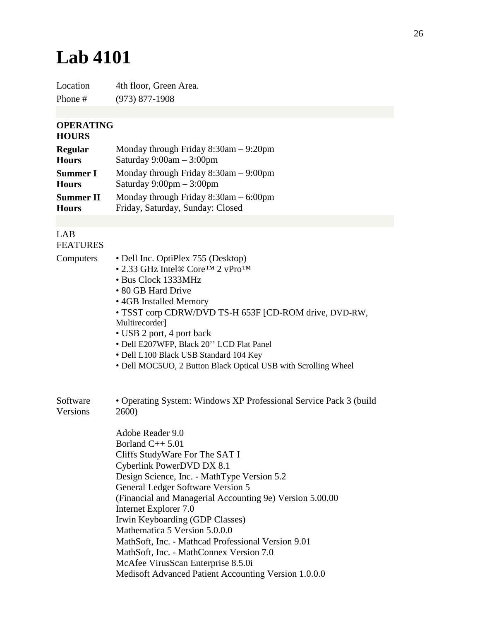## **Lab 4101**

Location 4th floor, Green Area. Phone # (973) 877-1908

## **OPERATING**

## **HOURS**

| <b>Regular</b>   | Monday through Friday $8:30$ am $-9:20$ pm |
|------------------|--------------------------------------------|
| <b>Hours</b>     | Saturday $9:00am - 3:00pm$                 |
| <b>Summer I</b>  | Monday through Friday $8:30$ am $-9:00$ pm |
| <b>Hours</b>     | Saturday $9:00 \text{pm} - 3:00 \text{pm}$ |
| <b>Summer II</b> | Monday through Friday $8:30$ am $-6:00$ pm |
| <b>Hours</b>     | Friday, Saturday, Sunday: Closed           |

## LAB FEATURES

| Computers | • Dell Inc. OptiPlex 755 (Desktop)                                 |
|-----------|--------------------------------------------------------------------|
|           | • 2.33 GHz Intel® Core <sup>TM</sup> 2 vPro <sup>TM</sup>          |
|           | • Bus Clock 1333MHz                                                |
|           | • 80 GB Hard Drive                                                 |
|           | • 4GB Installed Memory                                             |
|           | • TSST corp CDRW/DVD TS-H 653F [CD-ROM drive, DVD-RW,              |
|           | Multirecorder]                                                     |
|           | • USB 2 port, 4 port back                                          |
|           | · Dell E207WFP, Black 20" LCD Flat Panel                           |
|           | · Dell L100 Black USB Standard 104 Key                             |
|           | • Dell MOC5UO, 2 Button Black Optical USB with Scrolling Wheel     |
| Software  | • Operating System: Windows XP Professional Service Pack 3 (build) |
| Versions  | 2600)                                                              |
|           | Adobe Reader 9.0                                                   |
|           | Borland $C++5.01$                                                  |
|           | Cliffs StudyWare For The SAT I                                     |
|           | Cyberlink PowerDVD DX 8.1                                          |
|           | Design Science, Inc. - MathType Version 5.2                        |
|           | General Ledger Software Version 5                                  |
|           | (Financial and Managerial Accounting 9e) Version 5.00.00           |
|           | Internet Explorer 7.0                                              |
|           | Irwin Keyboarding (GDP Classes)                                    |
|           | Mathematica 5 Version 5.0.0.0                                      |
|           | MathSoft, Inc. - Mathcad Professional Version 9.01                 |
|           | MathSoft, Inc. - MathConnex Version 7.0                            |
|           | McAfee VirusScan Enterprise 8.5.0i                                 |
|           | Medisoft Advanced Patient Accounting Version 1.0.0.0               |